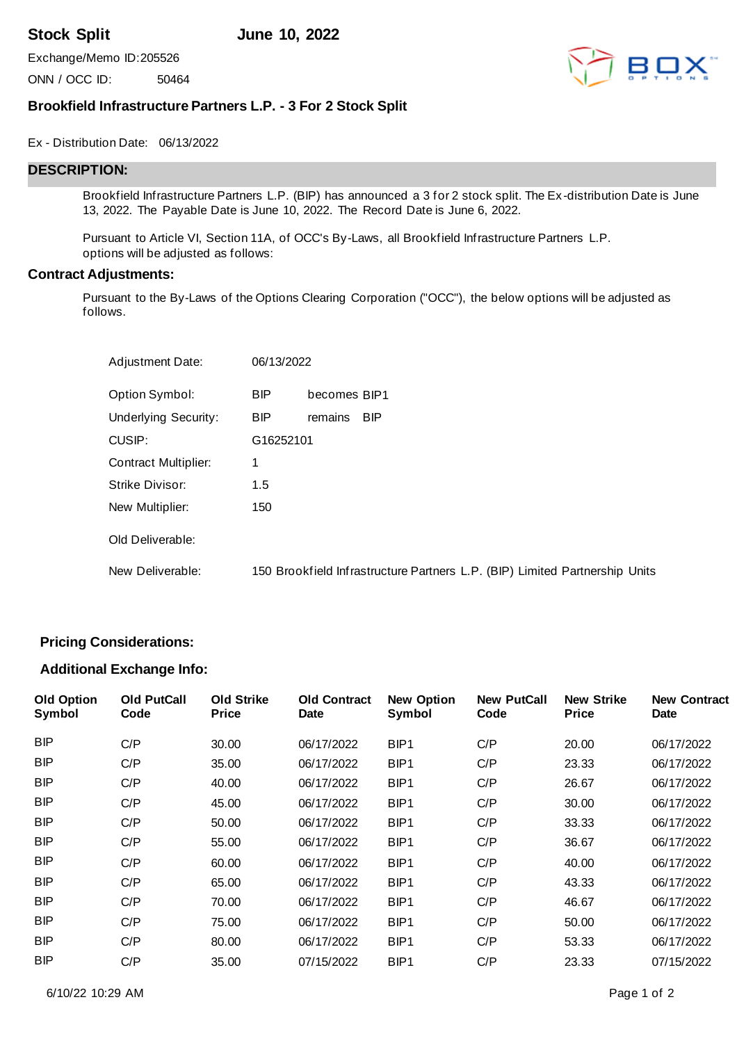**Stock Split June 10, 2022**

Exchange/Memo ID:205526

ONN / OCC ID: 50464



# **Brookfield Infrastructure Partners L.P. - 3 For 2 Stock Split**

#### Ex - Distribution Date: 06/13/2022

## **DESCRIPTION:**

Brookfield Infrastructure Partners L.P. (BIP) has announced a 3 for 2 stock split. The Ex -distribution Date is June 13, 2022. The Payable Date is June 10, 2022. The Record Date is June 6, 2022.

Pursuant to Article VI, Section 11A, of OCC's By-Laws, all Brookfield Infrastructure Partners L.P. options will be adjusted as follows:

#### **Contract Adjustments:**

Pursuant to the By-Laws of the Options Clearing Corporation ("OCC"), the below options will be adjusted as follows.

| Adjustment Date:            | 06/13/2022 |              |                                                                             |
|-----------------------------|------------|--------------|-----------------------------------------------------------------------------|
| Option Symbol:              | <b>BIP</b> | becomes BIP1 |                                                                             |
| <b>Underlying Security:</b> | <b>BIP</b> | remains      | <b>BIP</b>                                                                  |
| CUSIP:                      | G16252101  |              |                                                                             |
| <b>Contract Multiplier:</b> | 1          |              |                                                                             |
| Strike Divisor:             | 1.5        |              |                                                                             |
| New Multiplier:             | 150        |              |                                                                             |
| Old Deliverable:            |            |              |                                                                             |
| New Deliverable:            |            |              | 150 Brookfield Infrastructure Partners L.P. (BIP) Limited Partnership Units |

# **Pricing Considerations:**

### **Additional Exchange Info:**

| <b>Old Option</b><br>Symbol | <b>Old PutCall</b><br>Code | <b>Old Strike</b><br><b>Price</b> | <b>Old Contract</b><br>Date | <b>New Option</b><br>Symbol | <b>New PutCall</b><br>Code | <b>New Strike</b><br><b>Price</b> | <b>New Contract</b><br><b>Date</b> |
|-----------------------------|----------------------------|-----------------------------------|-----------------------------|-----------------------------|----------------------------|-----------------------------------|------------------------------------|
| <b>BIP</b>                  | C/P                        | 30.00                             | 06/17/2022                  | BIP1                        | C/P                        | 20.00                             | 06/17/2022                         |
| <b>BIP</b>                  | C/P                        | 35.00                             | 06/17/2022                  | BIP1                        | C/P                        | 23.33                             | 06/17/2022                         |
| <b>BIP</b>                  | C/P                        | 40.00                             | 06/17/2022                  | BIP1                        | C/P                        | 26.67                             | 06/17/2022                         |
| <b>BIP</b>                  | C/P                        | 45.00                             | 06/17/2022                  | BIP <sub>1</sub>            | C/P                        | 30.00                             | 06/17/2022                         |
| <b>BIP</b>                  | C/P                        | 50.00                             | 06/17/2022                  | BIP1                        | C/P                        | 33.33                             | 06/17/2022                         |
| <b>BIP</b>                  | C/P                        | 55.00                             | 06/17/2022                  | BIP <sub>1</sub>            | C/P                        | 36.67                             | 06/17/2022                         |
| <b>BIP</b>                  | C/P                        | 60.00                             | 06/17/2022                  | BIP <sub>1</sub>            | C/P                        | 40.00                             | 06/17/2022                         |
| <b>BIP</b>                  | C/P                        | 65.00                             | 06/17/2022                  | BIP <sub>1</sub>            | C/P                        | 43.33                             | 06/17/2022                         |
| <b>BIP</b>                  | C/P                        | 70.00                             | 06/17/2022                  | BIP <sub>1</sub>            | C/P                        | 46.67                             | 06/17/2022                         |
| <b>BIP</b>                  | C/P                        | 75.00                             | 06/17/2022                  | BIP1                        | C/P                        | 50.00                             | 06/17/2022                         |
| <b>BIP</b>                  | C/P                        | 80.00                             | 06/17/2022                  | BIP1                        | C/P                        | 53.33                             | 06/17/2022                         |
| <b>BIP</b>                  | C/P                        | 35.00                             | 07/15/2022                  | BIP <sub>1</sub>            | C/P                        | 23.33                             | 07/15/2022                         |